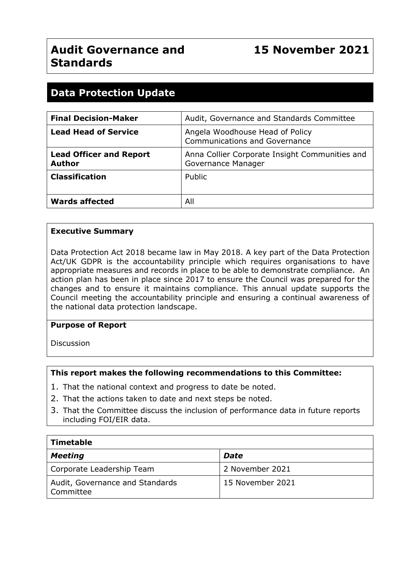# **Data Protection Update**

| <b>Final Decision-Maker</b>                     | Audit, Governance and Standards Committee                               |
|-------------------------------------------------|-------------------------------------------------------------------------|
| <b>Lead Head of Service</b>                     | Angela Woodhouse Head of Policy<br><b>Communications and Governance</b> |
| <b>Lead Officer and Report</b><br><b>Author</b> | Anna Collier Corporate Insight Communities and<br>Governance Manager    |
| <b>Classification</b>                           | Public                                                                  |
| <b>Wards affected</b>                           | All                                                                     |

#### **Executive Summary**

Data Protection Act 2018 became law in May 2018. A key part of the Data Protection Act/UK GDPR is the accountability principle which requires organisations to have appropriate measures and records in place to be able to demonstrate compliance. An action plan has been in place since 2017 to ensure the Council was prepared for the changes and to ensure it maintains compliance. This annual update supports the Council meeting the accountability principle and ensuring a continual awareness of the national data protection landscape.

#### **Purpose of Report**

Discussion

#### **This report makes the following recommendations to this Committee:**

- 1. That the national context and progress to date be noted.
- 2. That the actions taken to date and next steps be noted.
- 3. That the Committee discuss the inclusion of performance data in future reports including FOI/EIR data.

| <b>Timetable</b>                             |                  |  |  |
|----------------------------------------------|------------------|--|--|
| <b>Meeting</b>                               | <b>Date</b>      |  |  |
| Corporate Leadership Team                    | 2 November 2021  |  |  |
| Audit, Governance and Standards<br>Committee | 15 November 2021 |  |  |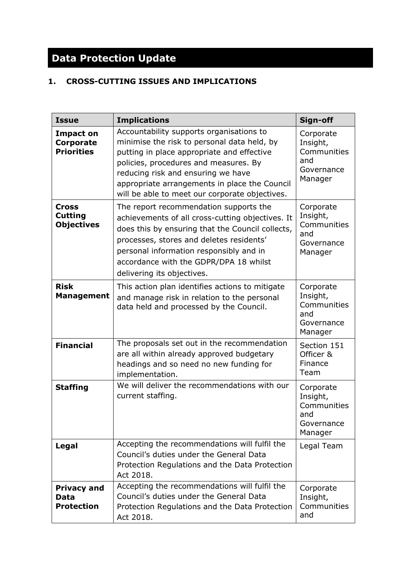# **Data Protection Update**

# **1. CROSS-CUTTING ISSUES AND IMPLICATIONS**

| <b>Issue</b>                                              | <b>Implications</b>                                                                                                                                                                                                                                                                                                     | Sign-off                                                             |
|-----------------------------------------------------------|-------------------------------------------------------------------------------------------------------------------------------------------------------------------------------------------------------------------------------------------------------------------------------------------------------------------------|----------------------------------------------------------------------|
| <b>Impact on</b><br><b>Corporate</b><br><b>Priorities</b> | Accountability supports organisations to<br>minimise the risk to personal data held, by<br>putting in place appropriate and effective<br>policies, procedures and measures. By<br>reducing risk and ensuring we have<br>appropriate arrangements in place the Council<br>will be able to meet our corporate objectives. | Corporate<br>Insight,<br>Communities<br>and<br>Governance<br>Manager |
| <b>Cross</b><br><b>Cutting</b><br><b>Objectives</b>       | The report recommendation supports the<br>achievements of all cross-cutting objectives. It<br>does this by ensuring that the Council collects,<br>processes, stores and deletes residents'<br>personal information responsibly and in<br>accordance with the GDPR/DPA 18 whilst<br>delivering its objectives.           | Corporate<br>Insight,<br>Communities<br>and<br>Governance<br>Manager |
| <b>Risk</b><br><b>Management</b>                          | This action plan identifies actions to mitigate<br>and manage risk in relation to the personal<br>data held and processed by the Council.                                                                                                                                                                               | Corporate<br>Insight,<br>Communities<br>and<br>Governance<br>Manager |
| <b>Financial</b>                                          | The proposals set out in the recommendation<br>are all within already approved budgetary<br>headings and so need no new funding for<br>implementation.                                                                                                                                                                  | Section 151<br>Officer &<br>Finance<br>Team                          |
| <b>Staffing</b>                                           | We will deliver the recommendations with our<br>current staffing.                                                                                                                                                                                                                                                       | Corporate<br>Insight,<br>Communities<br>and<br>Governance<br>Manager |
| Legal                                                     | Accepting the recommendations will fulfil the<br>Council's duties under the General Data<br>Protection Regulations and the Data Protection<br>Act 2018.                                                                                                                                                                 | Legal Team                                                           |
| <b>Privacy and</b><br>Data<br><b>Protection</b>           | Accepting the recommendations will fulfil the<br>Council's duties under the General Data<br>Protection Regulations and the Data Protection<br>Act 2018.                                                                                                                                                                 | Corporate<br>Insight,<br>Communities<br>and                          |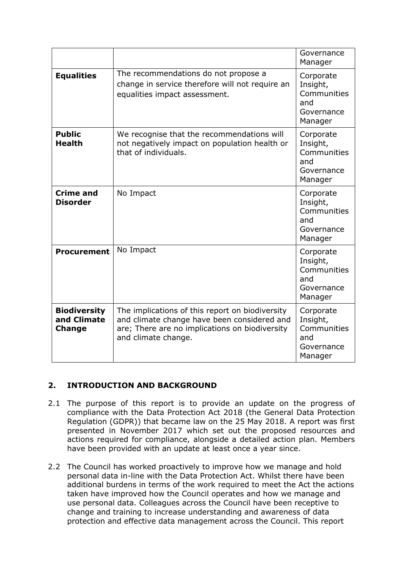|                                                     |                                                                                                                                                                         | Governance<br>Manager                                                |
|-----------------------------------------------------|-------------------------------------------------------------------------------------------------------------------------------------------------------------------------|----------------------------------------------------------------------|
| <b>Equalities</b>                                   | The recommendations do not propose a<br>change in service therefore will not require an<br>equalities impact assessment.                                                | Corporate<br>Insight,<br>Communities<br>and<br>Governance<br>Manager |
| <b>Public</b><br><b>Health</b>                      | We recognise that the recommendations will<br>not negatively impact on population health or<br>that of individuals.                                                     | Corporate<br>Insight,<br>Communities<br>and<br>Governance<br>Manager |
| <b>Crime and</b><br><b>Disorder</b>                 | No Impact                                                                                                                                                               | Corporate<br>Insight,<br>Communities<br>and<br>Governance<br>Manager |
| <b>Procurement</b>                                  | No Impact                                                                                                                                                               | Corporate<br>Insight,<br>Communities<br>and<br>Governance<br>Manager |
| <b>Biodiversity</b><br>and Climate<br><b>Change</b> | The implications of this report on biodiversity<br>and climate change have been considered and<br>are; There are no implications on biodiversity<br>and climate change. | Corporate<br>Insight,<br>Communities<br>and<br>Governance<br>Manager |

# **2. INTRODUCTION AND BACKGROUND**

- 2.1 The purpose of this report is to provide an update on the progress of compliance with the Data Protection Act 2018 (the General Data Protection Regulation (GDPR)) that became law on the 25 May 2018. A report was first presented in November 2017 which set out the proposed resources and actions required for compliance, alongside a detailed action plan. Members have been provided with an update at least once a year since.
- 2.2 The Council has worked proactively to improve how we manage and hold personal data in-line with the Data Protection Act. Whilst there have been additional burdens in terms of the work required to meet the Act the actions taken have improved how the Council operates and how we manage and use personal data. Colleagues across the Council have been receptive to change and training to increase understanding and awareness of data protection and effective data management across the Council. This report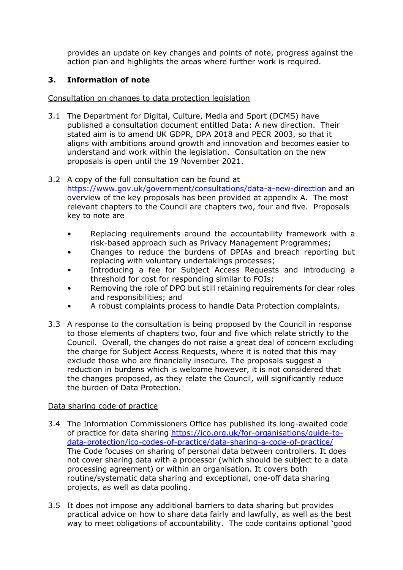provides an update on key changes and points of note, progress against the action plan and highlights the areas where further work is required.

# **3. Information of note**

Consultation on changes to data protection legislation

3.1 The Department for Digital, Culture, Media and Sport (DCMS) have published a consultation document entitled Data: A new direction. Their stated aim is to amend UK GDPR, DPA 2018 and PECR 2003, so that it aligns with ambitions around growth and innovation and becomes easier to understand and work within the legislation. Consultation on the new proposals is open until the 19 November 2021.

#### 3.2 A copy of the full consultation can be found at

<https://www.gov.uk/government/consultations/data-a-new-direction> and an overview of the key proposals has been provided at appendix A. The most relevant chapters to the Council are chapters two, four and five. Proposals key to note are

- Replacing requirements around the accountability framework with a risk-based approach such as Privacy Management Programmes;
- Changes to reduce the burdens of DPIAs and breach reporting but replacing with voluntary undertakings processes;
- Introducing a fee for Subject Access Requests and introducing a threshold for cost for responding similar to FOIs;
- Removing the role of DPO but still retaining requirements for clear roles and responsibilities; and
- A robust complaints process to handle Data Protection complaints.
- 3.3 A response to the consultation is being proposed by the Council in response to those elements of chapters two, four and five which relate strictly to the Council. Overall, the changes do not raise a great deal of concern excluding the charge for Subject Access Requests, where it is noted that this may exclude those who are financially insecure. The proposals suggest a reduction in burdens which is welcome however, it is not considered that the changes proposed, as they relate the Council, will significantly reduce the burden of Data Protection.

#### Data sharing code of practice

- 3.4 The Information Commissioners Office has published its long-awaited code of practice for data sharing [https://ico.org.uk/for-organisations/guide-to](https://ico.org.uk/for-organisations/guide-to-data-protection/ico-codes-of-practice/data-sharing-a-code-of-practice/)[data-protection/ico-codes-of-practice/data-sharing-a-code-of-practice/](https://ico.org.uk/for-organisations/guide-to-data-protection/ico-codes-of-practice/data-sharing-a-code-of-practice/) The Code focuses on sharing of personal data between controllers. It does not cover sharing data with a processor (which should be subject to a data processing agreement) or within an organisation. It covers both routine/systematic data sharing and exceptional, one-off data sharing projects, as well as data pooling.
- 3.5 It does not impose any additional barriers to data sharing but provides practical advice on how to share data fairly and lawfully, as well as the best way to meet obligations of accountability. The code contains optional 'good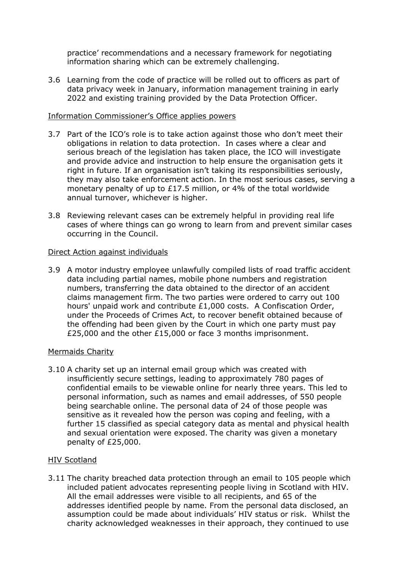practice' recommendations and a necessary framework for negotiating information sharing which can be extremely challenging.

3.6 Learning from the code of practice will be rolled out to officers as part of data privacy week in January, information management training in early 2022 and existing training provided by the Data Protection Officer.

#### Information Commissioner's Office applies powers

- 3.7 Part of the ICO's role is to take action against those who don't meet their obligations in relation to data protection. In cases where a clear and serious breach of the legislation has taken place, the ICO will investigate and provide advice and instruction to help ensure the organisation gets it right in future. If an organisation isn't taking its responsibilities seriously, they may also take enforcement action. In the most serious cases, serving a monetary penalty of up to £17.5 million, or 4% of the total worldwide annual turnover, whichever is higher.
- 3.8 Reviewing relevant cases can be extremely helpful in providing real life cases of where things can go wrong to learn from and prevent similar cases occurring in the Council.

#### Direct Action against individuals

3.9 A motor industry employee unlawfully compiled lists of road traffic accident data including partial names, mobile phone numbers and registration numbers, transferring the data obtained to the director of an accident claims management firm. The two parties were ordered to carry out 100 hours' unpaid work and contribute £1,000 costs. A Confiscation Order, under the Proceeds of Crimes Act, to recover benefit obtained because of the offending had been given by the Court in which one party must pay £25,000 and the other £15,000 or face 3 months imprisonment.

#### Mermaids Charity

3.10 A charity set up an internal email group which was created with insufficiently secure settings, leading to approximately 780 pages of confidential emails to be viewable online for nearly three years. This led to personal information, such as names and email addresses, of 550 people being searchable online. The personal data of 24 of those people was sensitive as it revealed how the person was coping and feeling, with a further 15 classified as special category data as mental and physical health and sexual orientation were exposed. The charity was given a monetary penalty of £25,000.

#### HIV Scotland

3.11 The charity breached data protection through an email to 105 people which included patient advocates representing people living in Scotland with HIV. All the email addresses were visible to all recipients, and 65 of the addresses identified people by name. From the personal data disclosed, an assumption could be made about individuals' HIV status or risk. Whilst the charity acknowledged weaknesses in their approach, they continued to use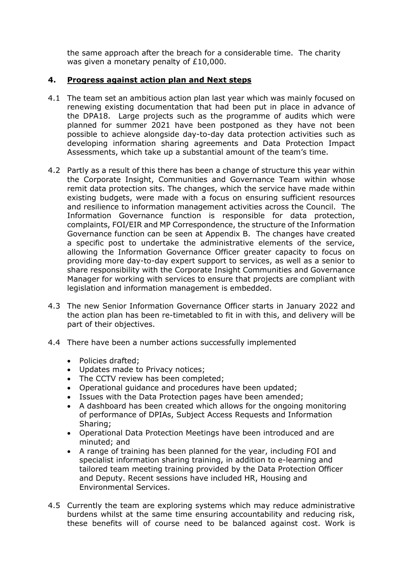the same approach after the breach for a considerable time. The charity was given a monetary penalty of £10,000.

## **4. Progress against action plan and Next steps**

- 4.1 The team set an ambitious action plan last year which was mainly focused on renewing existing documentation that had been put in place in advance of the DPA18. Large projects such as the programme of audits which were planned for summer 2021 have been postponed as they have not been possible to achieve alongside day-to-day data protection activities such as developing information sharing agreements and Data Protection Impact Assessments, which take up a substantial amount of the team's time.
- 4.2 Partly as a result of this there has been a change of structure this year within the Corporate Insight, Communities and Governance Team within whose remit data protection sits. The changes, which the service have made within existing budgets, were made with a focus on ensuring sufficient resources and resilience to information management activities across the Council. The Information Governance function is responsible for data protection, complaints, FOI/EIR and MP Correspondence, the structure of the Information Governance function can be seen at Appendix B. The changes have created a specific post to undertake the administrative elements of the service, allowing the Information Governance Officer greater capacity to focus on providing more day-to-day expert support to services, as well as a senior to share responsibility with the Corporate Insight Communities and Governance Manager for working with services to ensure that projects are compliant with legislation and information management is embedded.
- 4.3 The new Senior Information Governance Officer starts in January 2022 and the action plan has been re-timetabled to fit in with this, and delivery will be part of their objectives.
- 4.4 There have been a number actions successfully implemented
	- Policies drafted;
	- Updates made to Privacy notices;
	- The CCTV review has been completed:
	- Operational guidance and procedures have been updated;
	- Issues with the Data Protection pages have been amended;
	- A dashboard has been created which allows for the ongoing monitoring of performance of DPIAs, Subject Access Requests and Information Sharing;
	- Operational Data Protection Meetings have been introduced and are minuted; and
	- A range of training has been planned for the year, including FOI and specialist information sharing training, in addition to e-learning and tailored team meeting training provided by the Data Protection Officer and Deputy. Recent sessions have included HR, Housing and Environmental Services.
- 4.5 Currently the team are exploring systems which may reduce administrative burdens whilst at the same time ensuring accountability and reducing risk, these benefits will of course need to be balanced against cost. Work is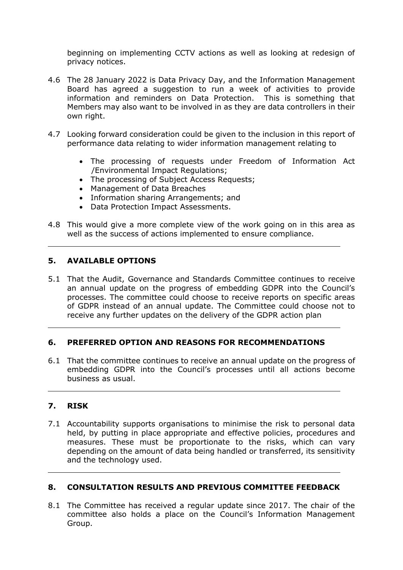beginning on implementing CCTV actions as well as looking at redesign of privacy notices.

- 4.6 The 28 January 2022 is Data Privacy Day, and the Information Management Board has agreed a suggestion to run a week of activities to provide information and reminders on Data Protection. This is something that Members may also want to be involved in as they are data controllers in their own right.
- 4.7 Looking forward consideration could be given to the inclusion in this report of performance data relating to wider information management relating to
	- The processing of requests under Freedom of Information Act /Environmental Impact Regulations;
	- The processing of Subject Access Requests;
	- Management of Data Breaches
	- Information sharing Arrangements; and
	- Data Protection Impact Assessments.
- 4.8 This would give a more complete view of the work going on in this area as well as the success of actions implemented to ensure compliance.

## **5. AVAILABLE OPTIONS**

5.1 That the Audit, Governance and Standards Committee continues to receive an annual update on the progress of embedding GDPR into the Council's processes. The committee could choose to receive reports on specific areas of GDPR instead of an annual update. The Committee could choose not to receive any further updates on the delivery of the GDPR action plan

#### **6. PREFERRED OPTION AND REASONS FOR RECOMMENDATIONS**

6.1 That the committee continues to receive an annual update on the progress of embedding GDPR into the Council's processes until all actions become business as usual.

#### **7. RISK**

7.1 Accountability supports organisations to minimise the risk to personal data held, by putting in place appropriate and effective policies, procedures and measures. These must be proportionate to the risks, which can vary depending on the amount of data being handled or transferred, its sensitivity and the technology used.

#### **8. CONSULTATION RESULTS AND PREVIOUS COMMITTEE FEEDBACK**

8.1 The Committee has received a regular update since 2017. The chair of the committee also holds a place on the Council's Information Management Group.